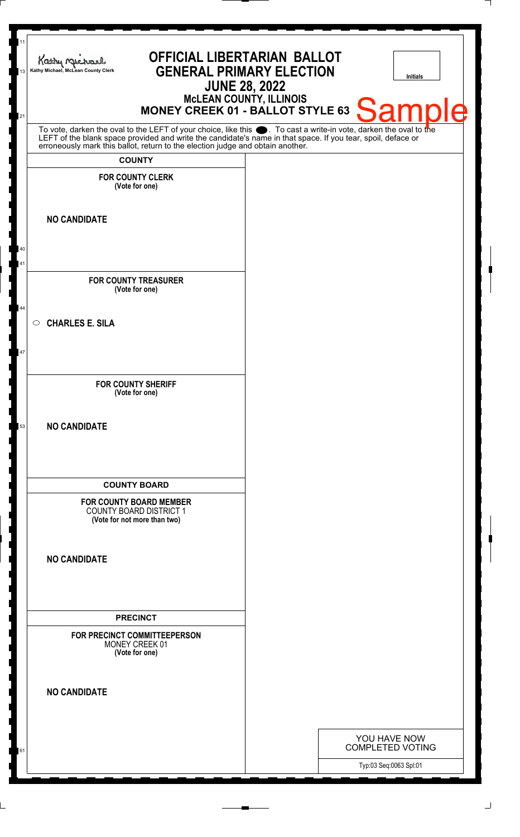| 11<br>Kathy Michael<br>Kathy Michael, McLean County Clerk<br>13                                                                                                                                                                     | <b>OFFICIAL LIBERTARIAN BALLOT</b><br><b>GENERAL PRIMARY ELECTION</b><br><b>Initials</b><br><b>JUNE 28, 2022</b><br>McLEAN COUNTY, ILLINOIS<br>MONEY CREEK 01 - BALLOT STYLE 63<br>Samp<br>A |
|-------------------------------------------------------------------------------------------------------------------------------------------------------------------------------------------------------------------------------------|----------------------------------------------------------------------------------------------------------------------------------------------------------------------------------------------|
| 21<br>To vote, darken the oval to the LEFT of your choice, like this . To cast a write-in vote, darken the oval to the LEFT of the blank space provided and write the candidate's name in that space. If you tear, spoil, deface or |                                                                                                                                                                                              |
| <b>COUNTY</b><br><b>FOR COUNTY CLERK</b><br>(Vote for one)                                                                                                                                                                          |                                                                                                                                                                                              |
| <b>NO CANDIDATE</b><br>40                                                                                                                                                                                                           |                                                                                                                                                                                              |
| 41<br><b>FOR COUNTY TREASURER</b><br>(Vote for one)                                                                                                                                                                                 |                                                                                                                                                                                              |
| 44<br><b>CHARLES E. SILA</b><br>$\circ$<br>47                                                                                                                                                                                       |                                                                                                                                                                                              |
| <b>FOR COUNTY SHERIFF</b><br>(Vote for one)                                                                                                                                                                                         |                                                                                                                                                                                              |
| <b>NO CANDIDATE</b><br>53                                                                                                                                                                                                           |                                                                                                                                                                                              |
| <b>COUNTY BOARD</b><br><b>FOR COUNTY BOARD MEMBER</b>                                                                                                                                                                               |                                                                                                                                                                                              |
| <b>COUNTY BOARD DISTRICT 1</b><br>(Vote for not more than two)                                                                                                                                                                      |                                                                                                                                                                                              |
| <b>NO CANDIDATE</b>                                                                                                                                                                                                                 |                                                                                                                                                                                              |
| <b>PRECINCT</b><br>FOR PRECINCT COMMITTEEPERSON<br>MONEY CREEK 01<br>(Vote for one)                                                                                                                                                 |                                                                                                                                                                                              |
| <b>NO CANDIDATE</b>                                                                                                                                                                                                                 |                                                                                                                                                                                              |
| 61                                                                                                                                                                                                                                  | YOU HAVE NOW<br><b>COMPLETED VOTING</b><br>Typ:03 Seq:0063 Spl:01                                                                                                                            |